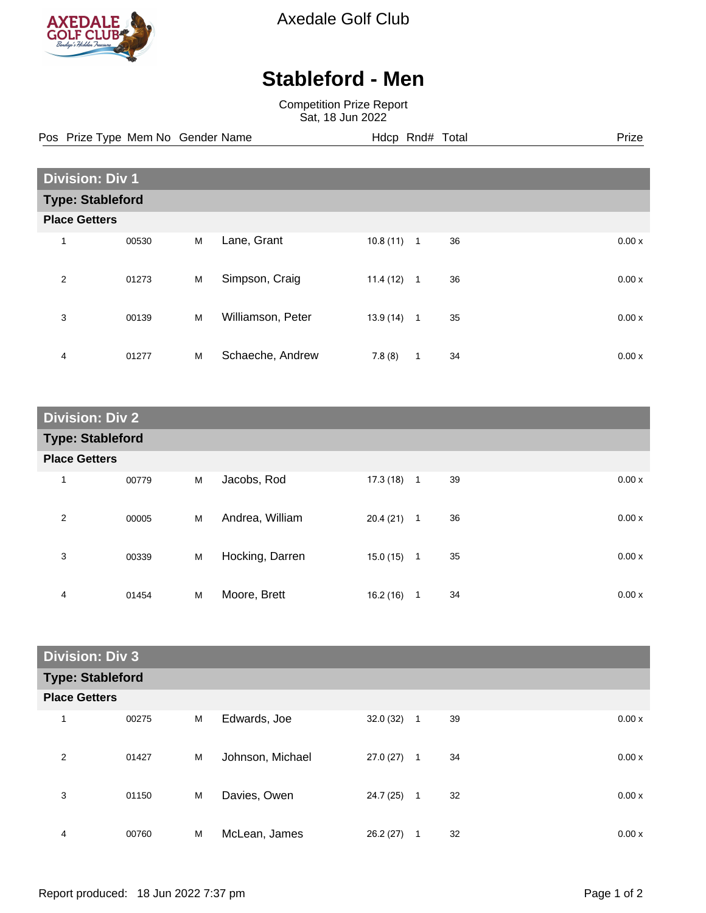

Axedale Golf Club

## **Stableford - Men**

Competition Prize Report Sat, 18 Jun 2022

Pos Prize Type Mem No Gender Name **Hdcp Rnd# Total** Prize Prize

| <b>Division: Div 1</b> |                         |   |                   |          |              |    |  |       |
|------------------------|-------------------------|---|-------------------|----------|--------------|----|--|-------|
|                        | <b>Type: Stableford</b> |   |                   |          |              |    |  |       |
| <b>Place Getters</b>   |                         |   |                   |          |              |    |  |       |
| 1                      | 00530                   | M | Lane, Grant       | 10.8(11) | $\mathbf{1}$ | 36 |  | 0.00x |
| 2                      | 01273                   | M | Simpson, Craig    | 11.4(12) | 1            | 36 |  | 0.00x |
| 3                      | 00139                   | M | Williamson, Peter | 13.9(14) | $\mathbf{1}$ | 35 |  | 0.00x |
| 4                      | 01277                   | M | Schaeche, Andrew  | 7.8(8)   | $\mathbf{1}$ | 34 |  | 0.00x |

| <b>Division: Div 2</b>  |       |   |                 |              |              |    |       |
|-------------------------|-------|---|-----------------|--------------|--------------|----|-------|
| <b>Type: Stableford</b> |       |   |                 |              |              |    |       |
| <b>Place Getters</b>    |       |   |                 |              |              |    |       |
| 1                       | 00779 | M | Jacobs, Rod     | $17.3(18)$ 1 |              | 39 | 0.00x |
| $\overline{2}$          | 00005 | М | Andrea, William | 20.4(21)     | 1            | 36 | 0.00x |
| 3                       | 00339 | M | Hocking, Darren | 15.0(15)     | $\mathbf{1}$ | 35 | 0.00x |
| 4                       | 01454 | M | Moore, Brett    | 16.2(16)     | 1            | 34 | 0.00x |

| <b>Division: Div 3</b>  |       |   |                  |           |              |    |       |
|-------------------------|-------|---|------------------|-----------|--------------|----|-------|
| <b>Type: Stableford</b> |       |   |                  |           |              |    |       |
| <b>Place Getters</b>    |       |   |                  |           |              |    |       |
| 1                       | 00275 | M | Edwards, Joe     | 32.0(32)  | $\mathbf{1}$ | 39 | 0.00x |
| 2                       | 01427 | M | Johnson, Michael | 27.0(27)  | $\mathbf{1}$ | 34 | 0.00x |
| 3                       | 01150 | M | Davies, Owen     | 24.7 (25) | 1            | 32 | 0.00x |
| 4                       | 00760 | M | McLean, James    | 26.2(27)  | 1            | 32 | 0.00x |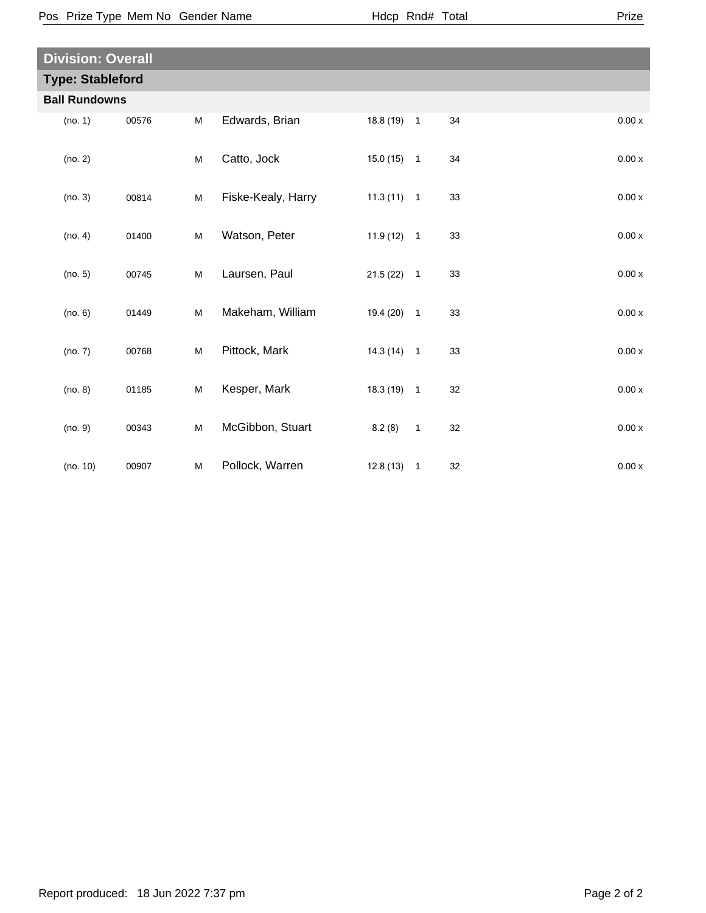| <b>Division: Overall</b> |       |   |                    |              |                |    |       |  |
|--------------------------|-------|---|--------------------|--------------|----------------|----|-------|--|
| <b>Type: Stableford</b>  |       |   |                    |              |                |    |       |  |
| <b>Ball Rundowns</b>     |       |   |                    |              |                |    |       |  |
| (no. 1)                  | 00576 | M | Edwards, Brian     | $18.8(19)$ 1 |                | 34 | 0.00x |  |
| (no. 2)                  |       | M | Catto, Jock        | $15.0(15)$ 1 |                | 34 | 0.00x |  |
| (no. 3)                  | 00814 | M | Fiske-Kealy, Harry | $11.3(11)$ 1 |                | 33 | 0.00x |  |
| (no. 4)                  | 01400 | M | Watson, Peter      | $11.9(12)$ 1 |                | 33 | 0.00x |  |
| (no. 5)                  | 00745 | M | Laursen, Paul      | $21.5(22)$ 1 |                | 33 | 0.00x |  |
| (no. 6)                  | 01449 | M | Makeham, William   | 19.4 (20) 1  |                | 33 | 0.00x |  |
| (no. 7)                  | 00768 | M | Pittock, Mark      | $14.3(14)$ 1 |                | 33 | 0.00x |  |
| (no. 8)                  | 01185 | M | Kesper, Mark       | $18.3(19)$ 1 |                | 32 | 0.00x |  |
| (no. 9)                  | 00343 | M | McGibbon, Stuart   | 8.2(8)       | $\overline{1}$ | 32 | 0.00x |  |
| (no. 10)                 | 00907 | M | Pollock, Warren    | $12.8(13)$ 1 |                | 32 | 0.00x |  |